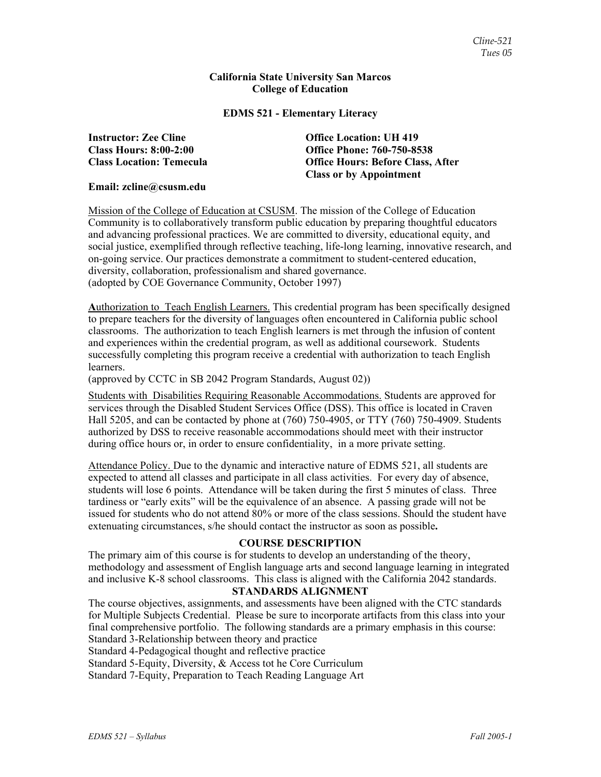#### **California State University San Marcos College of Education**

### **EDMS 521 - Elementary Literacy**

**Instructor: Zee Cline Office Location: UH 419** 

**Class Hours: 8:00-2:00 Office Phone: 760-750-8538 Class Location: Temecula Office Hours: Before Class, After Class or by Appointment** 

#### **Email: zcline@csusm.edu**

Mission of the College of Education at CSUSM. The mission of the College of Education Community is to collaboratively transform public education by preparing thoughtful educators and advancing professional practices. We are committed to diversity, educational equity, and social justice, exemplified through reflective teaching, life-long learning, innovative research, and on-going service. Our practices demonstrate a commitment to student-centered education, diversity, collaboration, professionalism and shared governance. (adopted by COE Governance Community, October 1997)

**A**uthorization to Teach English Learners. This credential program has been specifically designed to prepare teachers for the diversity of languages often encountered in California public school classrooms. The authorization to teach English learners is met through the infusion of content and experiences within the credential program, as well as additional coursework. Students successfully completing this program receive a credential with authorization to teach English learners.

(approved by CCTC in SB 2042 Program Standards, August 02))

Students with Disabilities Requiring Reasonable Accommodations. Students are approved for services through the Disabled Student Services Office (DSS). This office is located in Craven Hall 5205, and can be contacted by phone at (760) 750-4905, or TTY (760) 750-4909. Students authorized by DSS to receive reasonable accommodations should meet with their instructor during office hours or, in order to ensure confidentiality, in a more private setting.

Attendance Policy. Due to the dynamic and interactive nature of EDMS 521, all students are expected to attend all classes and participate in all class activities. For every day of absence, students will lose 6 points. Attendance will be taken during the first 5 minutes of class. Three tardiness or "early exits" will be the equivalence of an absence. A passing grade will not be issued for students who do not attend 80% or more of the class sessions. Should the student have extenuating circumstances, s/he should contact the instructor as soon as possible**.**

## **COURSE DESCRIPTION**

The primary aim of this course is for students to develop an understanding of the theory, methodology and assessment of English language arts and second language learning in integrated and inclusive K-8 school classrooms. This class is aligned with the California 2042 standards.

#### **STANDARDS ALIGNMENT**

The course objectives, assignments, and assessments have been aligned with the CTC standards for Multiple Subjects Credential. Please be sure to incorporate artifacts from this class into your final comprehensive portfolio. The following standards are a primary emphasis in this course: Standard 3-Relationship between theory and practice

Standard 4-Pedagogical thought and reflective practice

Standard 5-Equity, Diversity, & Access tot he Core Curriculum

Standard 7-Equity, Preparation to Teach Reading Language Art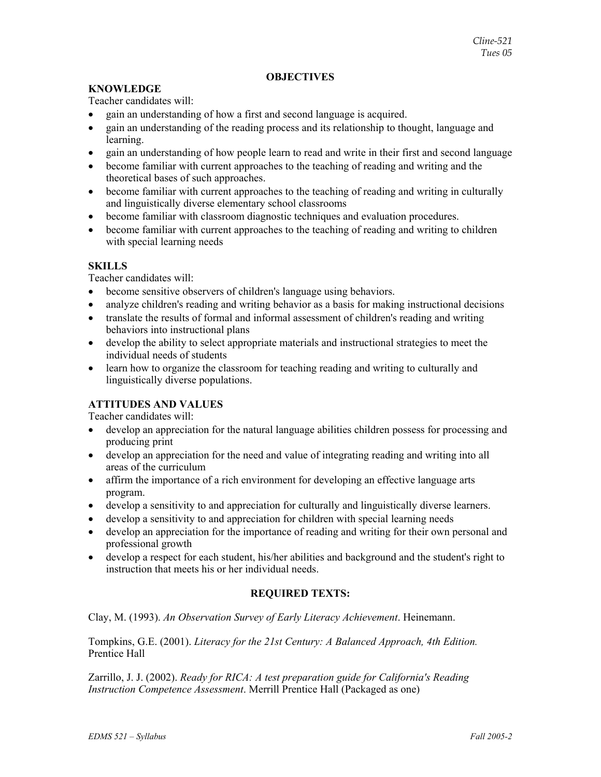## **OBJECTIVES**

## **KNOWLEDGE**

Teacher candidates will:

- gain an understanding of how a first and second language is acquired.
- gain an understanding of the reading process and its relationship to thought, language and learning.
- gain an understanding of how people learn to read and write in their first and second language
- become familiar with current approaches to the teaching of reading and writing and the theoretical bases of such approaches.
- become familiar with current approaches to the teaching of reading and writing in culturally and linguistically diverse elementary school classrooms
- become familiar with classroom diagnostic techniques and evaluation procedures.
- become familiar with current approaches to the teaching of reading and writing to children with special learning needs

## **SKILLS**

Teacher candidates will:

- become sensitive observers of children's language using behaviors.
- analyze children's reading and writing behavior as a basis for making instructional decisions
- translate the results of formal and informal assessment of children's reading and writing behaviors into instructional plans
- develop the ability to select appropriate materials and instructional strategies to meet the individual needs of students
- learn how to organize the classroom for teaching reading and writing to culturally and linguistically diverse populations.

## **ATTITUDES AND VALUES**

Teacher candidates will:

- develop an appreciation for the natural language abilities children possess for processing and producing print
- develop an appreciation for the need and value of integrating reading and writing into all areas of the curriculum
- affirm the importance of a rich environment for developing an effective language arts program.
- develop a sensitivity to and appreciation for culturally and linguistically diverse learners.
- develop a sensitivity to and appreciation for children with special learning needs
- develop an appreciation for the importance of reading and writing for their own personal and professional growth
- develop a respect for each student, his/her abilities and background and the student's right to instruction that meets his or her individual needs.

## **REQUIRED TEXTS:**

Clay, M. (1993). *An Observation Survey of Early Literacy Achievement*. Heinemann.

Tompkins, G.E. (2001). *Literacy for the 21st Century: A Balanced Approach, 4th Edition.* Prentice Hall

Zarrillo, J. J. (2002). *Ready for RICA: A test preparation guide for California's Reading Instruction Competence Assessment*. Merrill Prentice Hall (Packaged as one)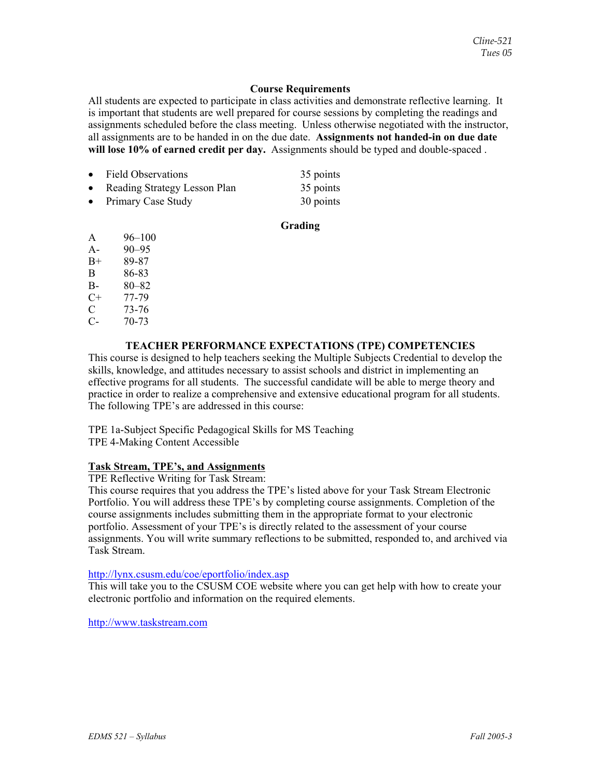## **Course Requirements**

All students are expected to participate in class activities and demonstrate reflective learning. It is important that students are well prepared for course sessions by completing the readings and assignments scheduled before the class meeting. Unless otherwise negotiated with the instructor, all assignments are to be handed in on the due date. **Assignments not handed-in on due date will lose 10% of earned credit per day.** Assignments should be typed and double-spaced .

| • Field Observations           | 35 points |
|--------------------------------|-----------|
| • Reading Strategy Lesson Plan | 35 points |
| • Primary Case Study           | 30 points |

### **Grading**

- A 96–100 A- 90–95
- B+ 89-87
- B 86-83
- B- 80–82
- C+ 77-79
- $\begin{array}{cc} \text{C} & 73-76 \\ \text{C} & 70-73 \end{array}$
- $70 73$

## **TEACHER PERFORMANCE EXPECTATIONS (TPE) COMPETENCIES**

This course is designed to help teachers seeking the Multiple Subjects Credential to develop the skills, knowledge, and attitudes necessary to assist schools and district in implementing an effective programs for all students. The successful candidate will be able to merge theory and practice in order to realize a comprehensive and extensive educational program for all students. The following TPE's are addressed in this course:

TPE 1a-Subject Specific Pedagogical Skills for MS Teaching TPE 4-Making Content Accessible

## **Task Stream, TPE's, and Assignments**

TPE Reflective Writing for Task Stream:

This course requires that you address the TPE's listed above for your Task Stream Electronic Portfolio. You will address these TPE's by completing course assignments. Completion of the course assignments includes submitting them in the appropriate format to your electronic portfolio. Assessment of your TPE's is directly related to the assessment of your course assignments. You will write summary reflections to be submitted, responded to, and archived via Task Stream.

## http://lynx.csusm.edu/coe/eportfolio/index.asp

This will take you to the CSUSM COE website where you can get help with how to create your electronic portfolio and information on the required elements.

http://www.taskstream.com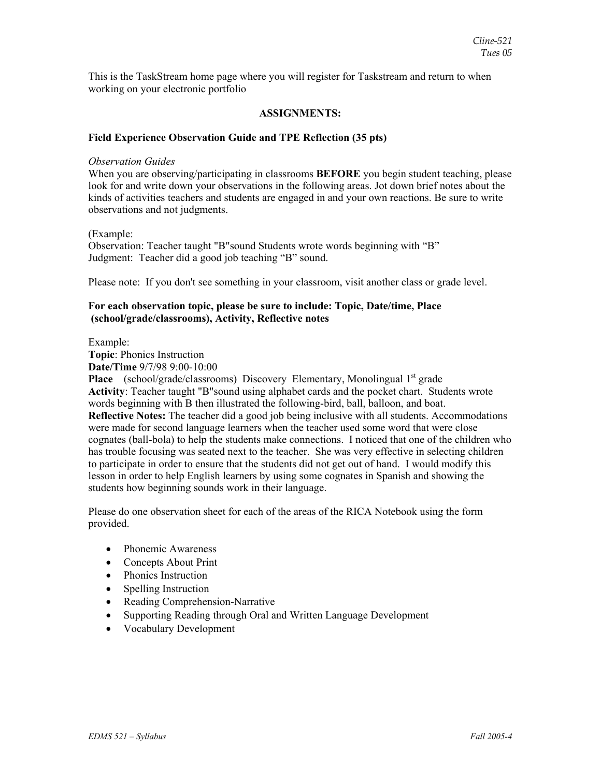This is the TaskStream home page where you will register for Taskstream and return to when working on your electronic portfolio

## **ASSIGNMENTS:**

#### **Field Experience Observation Guide and TPE Reflection (35 pts)**

#### *Observation Guides*

When you are observing/participating in classrooms **BEFORE** you begin student teaching, please look for and write down your observations in the following areas. Jot down brief notes about the kinds of activities teachers and students are engaged in and your own reactions. Be sure to write observations and not judgments.

(Example:

Observation: Teacher taught "B"sound Students wrote words beginning with "B" Judgment: Teacher did a good job teaching "B" sound.

Please note: If you don't see something in your classroom, visit another class or grade level.

#### **For each observation topic, please be sure to include: Topic, Date/time, Place (school/grade/classrooms), Activity, Reflective notes**

Example:

**Topic**: Phonics Instruction **Date/Time** 9/7/98 9:00-10:00

**Place** (school/grade/classrooms) Discovery Elementary, Monolingual 1<sup>st</sup> grade **Activity**: Teacher taught "B"sound using alphabet cards and the pocket chart. Students wrote words beginning with B then illustrated the following-bird, ball, balloon, and boat. **Reflective Notes:** The teacher did a good job being inclusive with all students. Accommodations were made for second language learners when the teacher used some word that were close cognates (ball-bola) to help the students make connections. I noticed that one of the children who has trouble focusing was seated next to the teacher. She was very effective in selecting children to participate in order to ensure that the students did not get out of hand. I would modify this lesson in order to help English learners by using some cognates in Spanish and showing the students how beginning sounds work in their language.

Please do one observation sheet for each of the areas of the RICA Notebook using the form provided.

- Phonemic Awareness
- Concepts About Print
- Phonics Instruction
- Spelling Instruction
- Reading Comprehension-Narrative
- Supporting Reading through Oral and Written Language Development
- Vocabulary Development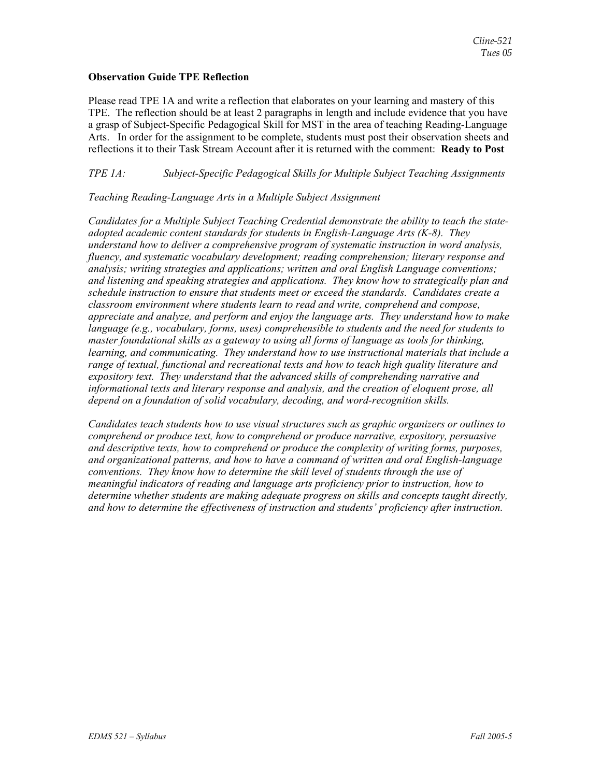## **Observation Guide TPE Reflection**

Please read TPE 1A and write a reflection that elaborates on your learning and mastery of this TPE. The reflection should be at least 2 paragraphs in length and include evidence that you have a grasp of Subject-Specific Pedagogical Skill for MST in the area of teaching Reading-Language Arts. In order for the assignment to be complete, students must post their observation sheets and reflections it to their Task Stream Account after it is returned with the comment: **Ready to Post**

## *TPE 1A: Subject-Specific Pedagogical Skills for Multiple Subject Teaching Assignments*

## *Teaching Reading-Language Arts in a Multiple Subject Assignment*

*Candidates for a Multiple Subject Teaching Credential demonstrate the ability to teach the stateadopted academic content standards for students in English-Language Arts (K-8). They understand how to deliver a comprehensive program of systematic instruction in word analysis, fluency, and systematic vocabulary development; reading comprehension; literary response and analysis; writing strategies and applications; written and oral English Language conventions; and listening and speaking strategies and applications. They know how to strategically plan and schedule instruction to ensure that students meet or exceed the standards. Candidates create a classroom environment where students learn to read and write, comprehend and compose, appreciate and analyze, and perform and enjoy the language arts. They understand how to make language (e.g., vocabulary, forms, uses) comprehensible to students and the need for students to master foundational skills as a gateway to using all forms of language as tools for thinking, learning, and communicating. They understand how to use instructional materials that include a range of textual, functional and recreational texts and how to teach high quality literature and expository text. They understand that the advanced skills of comprehending narrative and informational texts and literary response and analysis, and the creation of eloquent prose, all depend on a foundation of solid vocabulary, decoding, and word-recognition skills.* 

*Candidates teach students how to use visual structures such as graphic organizers or outlines to comprehend or produce text, how to comprehend or produce narrative, expository, persuasive and descriptive texts, how to comprehend or produce the complexity of writing forms, purposes, and organizational patterns, and how to have a command of written and oral English-language conventions. They know how to determine the skill level of students through the use of meaningful indicators of reading and language arts proficiency prior to instruction, how to determine whether students are making adequate progress on skills and concepts taught directly, and how to determine the effectiveness of instruction and students' proficiency after instruction.*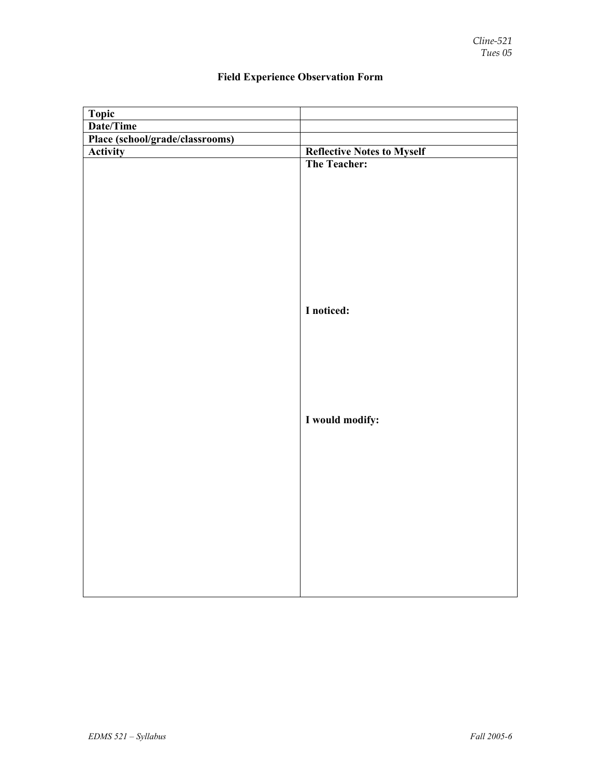| <b>Topic</b>                    |                                   |
|---------------------------------|-----------------------------------|
| Date/Time                       |                                   |
| Place (school/grade/classrooms) |                                   |
| Activity                        | <b>Reflective Notes to Myself</b> |
|                                 | The Teacher:                      |
|                                 |                                   |
|                                 |                                   |
|                                 |                                   |
|                                 |                                   |
|                                 |                                   |
|                                 |                                   |
|                                 |                                   |
|                                 |                                   |
|                                 |                                   |
|                                 |                                   |
|                                 | I noticed:                        |
|                                 |                                   |
|                                 |                                   |
|                                 |                                   |
|                                 |                                   |
|                                 |                                   |
|                                 |                                   |
|                                 |                                   |
|                                 | I would modify:                   |
|                                 |                                   |
|                                 |                                   |
|                                 |                                   |
|                                 |                                   |
|                                 |                                   |
|                                 |                                   |
|                                 |                                   |
|                                 |                                   |
|                                 |                                   |
|                                 |                                   |
|                                 |                                   |
|                                 |                                   |
|                                 |                                   |

# **Field Experience Observation Form**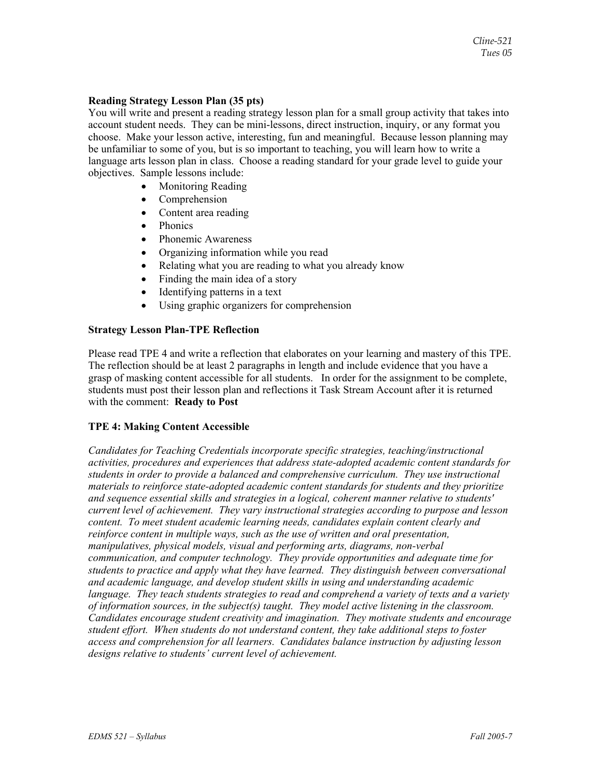### **Reading Strategy Lesson Plan (35 pts)**

You will write and present a reading strategy lesson plan for a small group activity that takes into account student needs. They can be mini-lessons, direct instruction, inquiry, or any format you choose. Make your lesson active, interesting, fun and meaningful. Because lesson planning may be unfamiliar to some of you, but is so important to teaching, you will learn how to write a language arts lesson plan in class. Choose a reading standard for your grade level to guide your objectives. Sample lessons include:

- Monitoring Reading
- Comprehension
- Content area reading
- Phonics
- Phonemic Awareness
- Organizing information while you read
- Relating what you are reading to what you already know
- Finding the main idea of a story
- Identifying patterns in a text
- Using graphic organizers for comprehension

## **Strategy Lesson Plan-TPE Reflection**

Please read TPE 4 and write a reflection that elaborates on your learning and mastery of this TPE. The reflection should be at least 2 paragraphs in length and include evidence that you have a grasp of masking content accessible for all students. In order for the assignment to be complete, students must post their lesson plan and reflections it Task Stream Account after it is returned with the comment: **Ready to Post**

## **TPE 4: Making Content Accessible**

*Candidates for Teaching Credentials incorporate specific strategies, teaching/instructional activities, procedures and experiences that address state-adopted academic content standards for students in order to provide a balanced and comprehensive curriculum. They use instructional materials to reinforce state-adopted academic content standards for students and they prioritize and sequence essential skills and strategies in a logical, coherent manner relative to students' current level of achievement. They vary instructional strategies according to purpose and lesson content. To meet student academic learning needs, candidates explain content clearly and reinforce content in multiple ways, such as the use of written and oral presentation, manipulatives, physical models, visual and performing arts, diagrams, non-verbal communication, and computer technology. They provide opportunities and adequate time for students to practice and apply what they have learned. They distinguish between conversational and academic language, and develop student skills in using and understanding academic language. They teach students strategies to read and comprehend a variety of texts and a variety of information sources, in the subject(s) taught. They model active listening in the classroom. Candidates encourage student creativity and imagination. They motivate students and encourage student effort. When students do not understand content, they take additional steps to foster access and comprehension for all learners. Candidates balance instruction by adjusting lesson designs relative to students' current level of achievement.*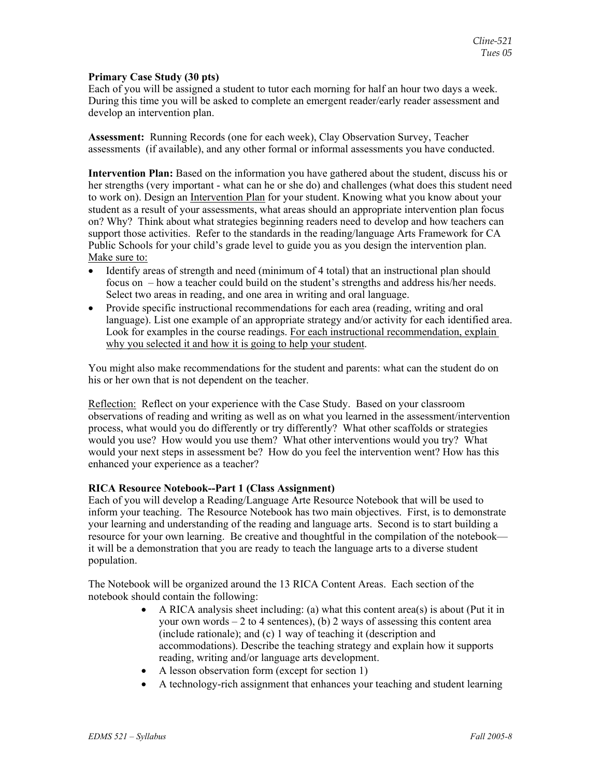#### **Primary Case Study (30 pts)**

Each of you will be assigned a student to tutor each morning for half an hour two days a week. During this time you will be asked to complete an emergent reader/early reader assessment and develop an intervention plan.

**Assessment:** Running Records (one for each week), Clay Observation Survey, Teacher assessments (if available), and any other formal or informal assessments you have conducted.

**Intervention Plan:** Based on the information you have gathered about the student, discuss his or her strengths (very important - what can he or she do) and challenges (what does this student need to work on). Design an Intervention Plan for your student. Knowing what you know about your student as a result of your assessments, what areas should an appropriate intervention plan focus on? Why? Think about what strategies beginning readers need to develop and how teachers can support those activities. Refer to the standards in the reading/language Arts Framework for CA Public Schools for your child's grade level to guide you as you design the intervention plan. Make sure to:

- Identify areas of strength and need (minimum of 4 total) that an instructional plan should focus on – how a teacher could build on the student's strengths and address his/her needs. Select two areas in reading, and one area in writing and oral language.
- Provide specific instructional recommendations for each area (reading, writing and oral language). List one example of an appropriate strategy and/or activity for each identified area. Look for examples in the course readings. For each instructional recommendation, explain why you selected it and how it is going to help your student.

You might also make recommendations for the student and parents: what can the student do on his or her own that is not dependent on the teacher.

Reflection: Reflect on your experience with the Case Study. Based on your classroom observations of reading and writing as well as on what you learned in the assessment/intervention process, what would you do differently or try differently? What other scaffolds or strategies would you use? How would you use them? What other interventions would you try? What would your next steps in assessment be? How do you feel the intervention went? How has this enhanced your experience as a teacher?

## **RICA Resource Notebook--Part 1 (Class Assignment)**

Each of you will develop a Reading/Language Arte Resource Notebook that will be used to inform your teaching. The Resource Notebook has two main objectives. First, is to demonstrate your learning and understanding of the reading and language arts. Second is to start building a resource for your own learning. Be creative and thoughtful in the compilation of the notebook it will be a demonstration that you are ready to teach the language arts to a diverse student population.

The Notebook will be organized around the 13 RICA Content Areas. Each section of the notebook should contain the following:

- A RICA analysis sheet including: (a) what this content area(s) is about (Put it in your own words  $-2$  to 4 sentences), (b) 2 ways of assessing this content area (include rationale); and (c) 1 way of teaching it (description and accommodations). Describe the teaching strategy and explain how it supports reading, writing and/or language arts development.
- A lesson observation form (except for section 1)
- A technology-rich assignment that enhances your teaching and student learning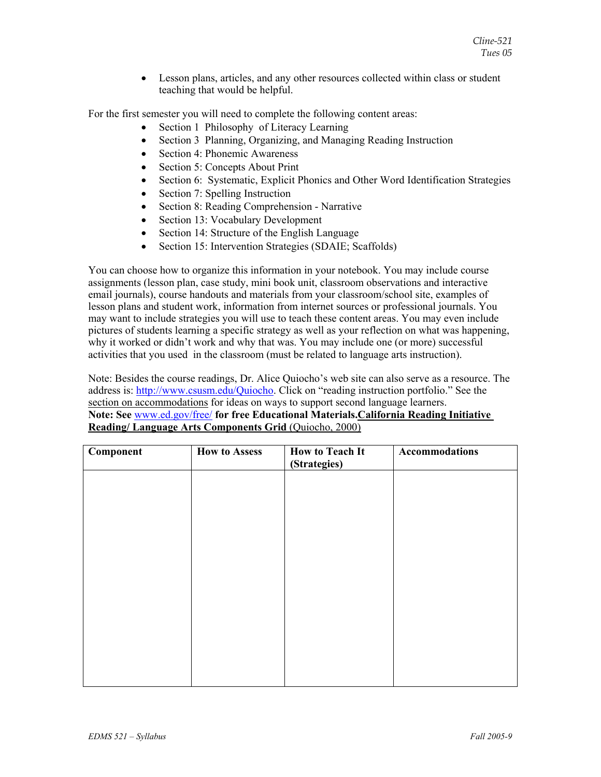• Lesson plans, articles, and any other resources collected within class or student teaching that would be helpful.

For the first semester you will need to complete the following content areas:

- Section 1 Philosophy of Literacy Learning
- Section 3 Planning, Organizing, and Managing Reading Instruction
- Section 4: Phonemic Awareness
- Section 5: Concepts About Print
- Section 6: Systematic, Explicit Phonics and Other Word Identification Strategies
- Section 7: Spelling Instruction
- Section 8: Reading Comprehension Narrative
- Section 13: Vocabulary Development
- Section 14: Structure of the English Language
- Section 15: Intervention Strategies (SDAIE; Scaffolds)

You can choose how to organize this information in your notebook. You may include course assignments (lesson plan, case study, mini book unit, classroom observations and interactive email journals), course handouts and materials from your classroom/school site, examples of lesson plans and student work, information from internet sources or professional journals. You may want to include strategies you will use to teach these content areas. You may even include pictures of students learning a specific strategy as well as your reflection on what was happening, why it worked or didn't work and why that was. You may include one (or more) successful activities that you used in the classroom (must be related to language arts instruction).

Note: Besides the course readings, Dr. Alice Quiocho's web site can also serve as a resource. The address is: http://www.csusm.edu/Quiocho. Click on "reading instruction portfolio." See the section on accommodations for ideas on ways to support second language learners. **Note: See** www.ed.gov/free/ **for free Educational Materials.California Reading Initiative Reading/ Language Arts Components Grid** (Quiocho, 2000)

| Component | <b>How to Assess</b> | <b>How to Teach It</b><br>(Strategies) | Accommodations |
|-----------|----------------------|----------------------------------------|----------------|
|           |                      |                                        |                |
|           |                      |                                        |                |
|           |                      |                                        |                |
|           |                      |                                        |                |
|           |                      |                                        |                |
|           |                      |                                        |                |
|           |                      |                                        |                |
|           |                      |                                        |                |
|           |                      |                                        |                |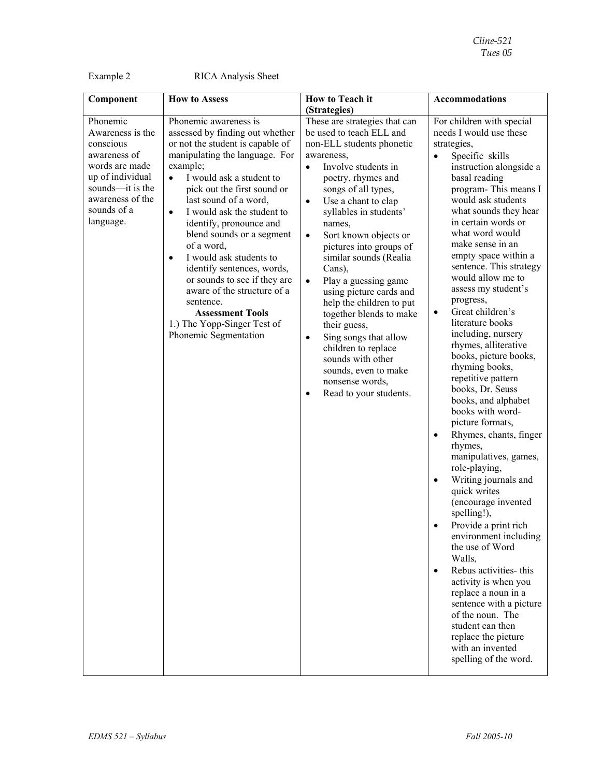Example 2 RICA Analysis Sheet

| Component                                                                                                                                                           | <b>How to Assess</b>                                                                                                                                                                                                                                                                                                                                                                                                                                                                                                                                                                              | <b>How to Teach it</b>                                                                                                                                                                                                                                                                                                                                                                                                                                                                                                                                                                                                                                                | <b>Accommodations</b>                                                                                                                                                                                                                                                                                                                                                                                                                                                                                                                                                                                                                                                                                                                                                                                                                                                                                                                                                                                                                                                                                                           |
|---------------------------------------------------------------------------------------------------------------------------------------------------------------------|---------------------------------------------------------------------------------------------------------------------------------------------------------------------------------------------------------------------------------------------------------------------------------------------------------------------------------------------------------------------------------------------------------------------------------------------------------------------------------------------------------------------------------------------------------------------------------------------------|-----------------------------------------------------------------------------------------------------------------------------------------------------------------------------------------------------------------------------------------------------------------------------------------------------------------------------------------------------------------------------------------------------------------------------------------------------------------------------------------------------------------------------------------------------------------------------------------------------------------------------------------------------------------------|---------------------------------------------------------------------------------------------------------------------------------------------------------------------------------------------------------------------------------------------------------------------------------------------------------------------------------------------------------------------------------------------------------------------------------------------------------------------------------------------------------------------------------------------------------------------------------------------------------------------------------------------------------------------------------------------------------------------------------------------------------------------------------------------------------------------------------------------------------------------------------------------------------------------------------------------------------------------------------------------------------------------------------------------------------------------------------------------------------------------------------|
|                                                                                                                                                                     |                                                                                                                                                                                                                                                                                                                                                                                                                                                                                                                                                                                                   | (Strategies)                                                                                                                                                                                                                                                                                                                                                                                                                                                                                                                                                                                                                                                          |                                                                                                                                                                                                                                                                                                                                                                                                                                                                                                                                                                                                                                                                                                                                                                                                                                                                                                                                                                                                                                                                                                                                 |
| Phonemic<br>Awareness is the<br>conscious<br>awareness of<br>words are made<br>up of individual<br>sounds-it is the<br>awareness of the<br>sounds of a<br>language. | Phonemic awareness is<br>assessed by finding out whether<br>or not the student is capable of<br>manipulating the language. For<br>example;<br>I would ask a student to<br>$\bullet$<br>pick out the first sound or<br>last sound of a word,<br>I would ask the student to<br>$\bullet$<br>identify, pronounce and<br>blend sounds or a segment<br>of a word,<br>I would ask students to<br>$\bullet$<br>identify sentences, words,<br>or sounds to see if they are<br>aware of the structure of a<br>sentence.<br><b>Assessment Tools</b><br>1.) The Yopp-Singer Test of<br>Phonemic Segmentation | These are strategies that can<br>be used to teach ELL and<br>non-ELL students phonetic<br>awareness,<br>Involve students in<br>$\bullet$<br>poetry, rhymes and<br>songs of all types,<br>Use a chant to clap<br>$\bullet$<br>syllables in students'<br>names,<br>Sort known objects or<br>$\bullet$<br>pictures into groups of<br>similar sounds (Realia<br>Cans),<br>Play a guessing game<br>$\bullet$<br>using picture cards and<br>help the children to put<br>together blends to make<br>their guess,<br>Sing songs that allow<br>$\bullet$<br>children to replace<br>sounds with other<br>sounds, even to make<br>nonsense words,<br>Read to your students.<br>٠ | For children with special<br>needs I would use these<br>strategies,<br>Specific skills<br>instruction alongside a<br>basal reading<br>program-This means I<br>would ask students<br>what sounds they hear<br>in certain words or<br>what word would<br>make sense in an<br>empty space within a<br>sentence. This strategy<br>would allow me to<br>assess my student's<br>progress,<br>Great children's<br>$\bullet$<br>literature books<br>including, nursery<br>rhymes, alliterative<br>books, picture books,<br>rhyming books,<br>repetitive pattern<br>books, Dr. Seuss<br>books, and alphabet<br>books with word-<br>picture formats,<br>Rhymes, chants, finger<br>$\bullet$<br>rhymes,<br>manipulatives, games,<br>role-playing,<br>Writing journals and<br>quick writes<br>(encourage invented<br>spelling!),<br>Provide a print rich<br>environment including<br>the use of Word<br>Walls,<br>Rebus activities- this<br>$\bullet$<br>activity is when you<br>replace a noun in a<br>sentence with a picture<br>of the noun. The<br>student can then<br>replace the picture<br>with an invented<br>spelling of the word. |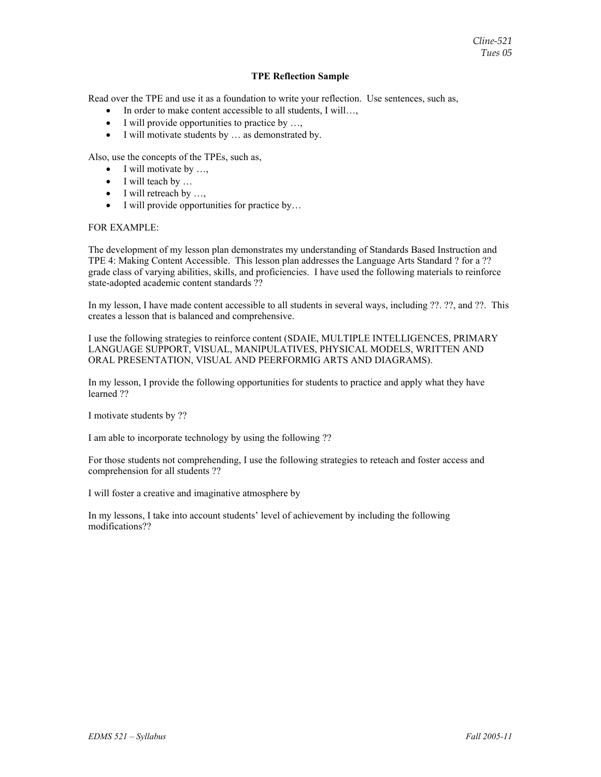#### **TPE Reflection Sample**

Read over the TPE and use it as a foundation to write your reflection. Use sentences, such as,

- In order to make content accessible to all students, I will...,
- I will provide opportunities to practice by ...,
- I will motivate students by ... as demonstrated by.

Also, use the concepts of the TPEs, such as,

- $\bullet$  I will motivate by ...,
- I will teach by ...
- I will retreach by ...,
- I will provide opportunities for practice by...

#### FOR EXAMPLE:

The development of my lesson plan demonstrates my understanding of Standards Based Instruction and TPE 4: Making Content Accessible. This lesson plan addresses the Language Arts Standard ? for a ?? grade class of varying abilities, skills, and proficiencies. I have used the following materials to reinforce state-adopted academic content standards ??

In my lesson, I have made content accessible to all students in several ways, including ??. ??, and ??. This creates a lesson that is balanced and comprehensive.

I use the following strategies to reinforce content (SDAIE, MULTIPLE INTELLIGENCES, PRIMARY LANGUAGE SUPPORT, VISUAL, MANIPULATIVES, PHYSICAL MODELS, WRITTEN AND ORAL PRESENTATION, VISUAL AND PEERFORMIG ARTS AND DIAGRAMS).

In my lesson, I provide the following opportunities for students to practice and apply what they have learned ??

I motivate students by ??

I am able to incorporate technology by using the following ??

For those students not comprehending, I use the following strategies to reteach and foster access and comprehension for all students ??

I will foster a creative and imaginative atmosphere by

In my lessons, I take into account students' level of achievement by including the following modifications??